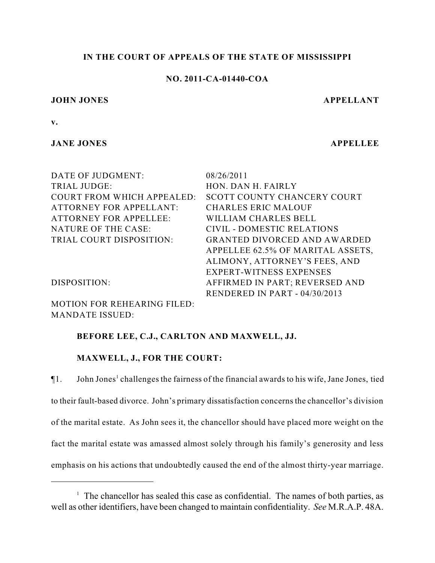## **IN THE COURT OF APPEALS OF THE STATE OF MISSISSIPPI**

## **NO. 2011-CA-01440-COA**

#### **JOHN JONES APPELLANT**

**v.**

## **JANE JONES APPELLEE**

| DATE OF JUDGMENT:                 | 08/26/2011                          |
|-----------------------------------|-------------------------------------|
| <b>TRIAL JUDGE:</b>               | HON. DAN H. FAIRLY                  |
| <b>COURT FROM WHICH APPEALED:</b> | SCOTT COUNTY CHANCERY COURT         |
| <b>ATTORNEY FOR APPELLANT:</b>    | <b>CHARLES ERIC MALOUF</b>          |
| <b>ATTORNEY FOR APPELLEE:</b>     | WILLIAM CHARLES BELL                |
| NATURE OF THE CASE:               | <b>CIVIL - DOMESTIC RELATIONS</b>   |
| TRIAL COURT DISPOSITION:          | <b>GRANTED DIVORCED AND AWARDED</b> |
|                                   | APPELLEE 62.5% OF MARITAL ASSETS,   |
|                                   | ALIMONY, ATTORNEY'S FEES, AND       |
|                                   | EXPERT-WITNESS EXPENSES             |
| DISPOSITION:                      | AFFIRMED IN PART; REVERSED AND      |
|                                   | RENDERED IN PART - 04/30/2013       |
|                                   |                                     |

MOTION FOR REHEARING FILED: MANDATE ISSUED:

## **BEFORE LEE, C.J., CARLTON AND MAXWELL, JJ.**

## **MAXWELL, J., FOR THE COURT:**

 $\P$ 1. John Jones<sup>1</sup> challenges the fairness of the financial awards to his wife, Jane Jones, tied to their fault-based divorce. John's primary dissatisfaction concerns the chancellor's division of the marital estate. As John sees it, the chancellor should have placed more weight on the fact the marital estate was amassed almost solely through his family's generosity and less emphasis on his actions that undoubtedly caused the end of the almost thirty-year marriage.

 $\frac{1}{1}$ . The chancellor has sealed this case as confidential. The names of both parties, as well as other identifiers, have been changed to maintain confidentiality. *See* M.R.A.P. 48A.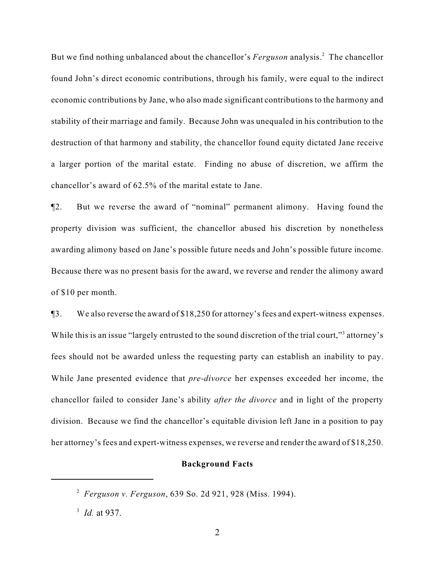But we find nothing unbalanced about the chancellor's *Ferguson* analysis.<sup>2</sup> The chancellor found John's direct economic contributions, through his family, were equal to the indirect economic contributions by Jane, who also made significant contributions to the harmony and stability of their marriage and family. Because John was unequaled in his contribution to the destruction of that harmony and stability, the chancellor found equity dictated Jane receive a larger portion of the marital estate. Finding no abuse of discretion, we affirm the chancellor's award of 62.5% of the marital estate to Jane.

¶2. But we reverse the award of "nominal" permanent alimony. Having found the property division was sufficient, the chancellor abused his discretion by nonetheless awarding alimony based on Jane's possible future needs and John's possible future income. Because there was no present basis for the award, we reverse and render the alimony award of \$10 per month.

¶3. We also reverse the award of \$18,250 for attorney's fees and expert-witness expenses. While this is an issue "largely entrusted to the sound discretion of the trial court," attorney's fees should not be awarded unless the requesting party can establish an inability to pay. While Jane presented evidence that *pre-divorce* her expenses exceeded her income, the chancellor failed to consider Jane's ability *after the divorce* and in light of the property division. Because we find the chancellor's equitable division left Jane in a position to pay her attorney's fees and expert-witness expenses, we reverse and render the award of \$18,250.

#### **Background Facts**

*Ferguson v. Ferguson*, 639 So. 2d 921, 928 (Miss. 1994). 2

<sup>&</sup>lt;sup>3</sup> *Id.* at 937.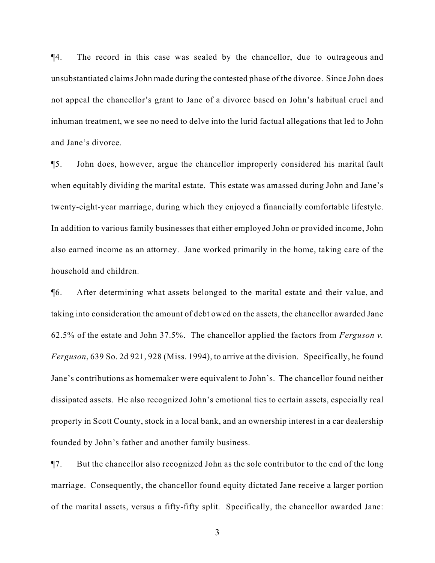¶4. The record in this case was sealed by the chancellor, due to outrageous and unsubstantiated claims John made during the contested phase of the divorce. Since John does not appeal the chancellor's grant to Jane of a divorce based on John's habitual cruel and inhuman treatment, we see no need to delve into the lurid factual allegations that led to John and Jane's divorce.

¶5. John does, however, argue the chancellor improperly considered his marital fault when equitably dividing the marital estate. This estate was amassed during John and Jane's twenty-eight-year marriage, during which they enjoyed a financially comfortable lifestyle. In addition to various family businesses that either employed John or provided income, John also earned income as an attorney. Jane worked primarily in the home, taking care of the household and children.

¶6. After determining what assets belonged to the marital estate and their value, and taking into consideration the amount of debt owed on the assets, the chancellor awarded Jane 62.5% of the estate and John 37.5%. The chancellor applied the factors from *Ferguson v. Ferguson*, 639 So. 2d 921, 928 (Miss. 1994), to arrive at the division. Specifically, he found Jane's contributions as homemaker were equivalent to John's. The chancellor found neither dissipated assets. He also recognized John's emotional ties to certain assets, especially real property in Scott County, stock in a local bank, and an ownership interest in a car dealership founded by John's father and another family business.

¶7. But the chancellor also recognized John as the sole contributor to the end of the long marriage. Consequently, the chancellor found equity dictated Jane receive a larger portion of the marital assets, versus a fifty-fifty split. Specifically, the chancellor awarded Jane:

3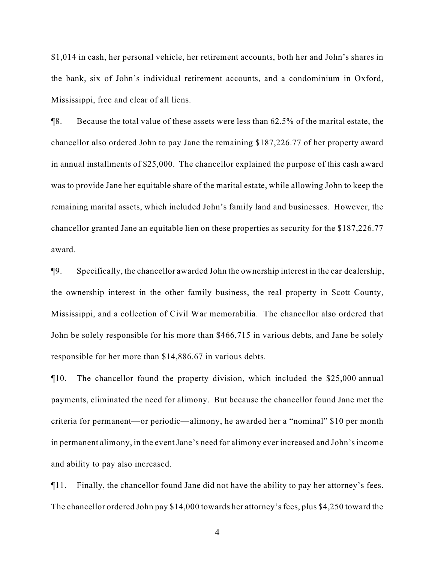\$1,014 in cash, her personal vehicle, her retirement accounts, both her and John's shares in the bank, six of John's individual retirement accounts, and a condominium in Oxford, Mississippi, free and clear of all liens.

¶8. Because the total value of these assets were less than 62.5% of the marital estate, the chancellor also ordered John to pay Jane the remaining \$187,226.77 of her property award in annual installments of \$25,000. The chancellor explained the purpose of this cash award was to provide Jane her equitable share of the marital estate, while allowing John to keep the remaining marital assets, which included John's family land and businesses. However, the chancellor granted Jane an equitable lien on these properties as security for the \$187,226.77 award.

¶9. Specifically, the chancellor awarded John the ownership interest in the car dealership, the ownership interest in the other family business, the real property in Scott County, Mississippi, and a collection of Civil War memorabilia. The chancellor also ordered that John be solely responsible for his more than \$466,715 in various debts, and Jane be solely responsible for her more than \$14,886.67 in various debts.

¶10. The chancellor found the property division, which included the \$25,000 annual payments, eliminated the need for alimony. But because the chancellor found Jane met the criteria for permanent—or periodic—alimony, he awarded her a "nominal" \$10 per month in permanent alimony, in the event Jane's need for alimony ever increased and John's income and ability to pay also increased.

¶11. Finally, the chancellor found Jane did not have the ability to pay her attorney's fees. The chancellor ordered John pay \$14,000 towards her attorney's fees, plus \$4,250 toward the

4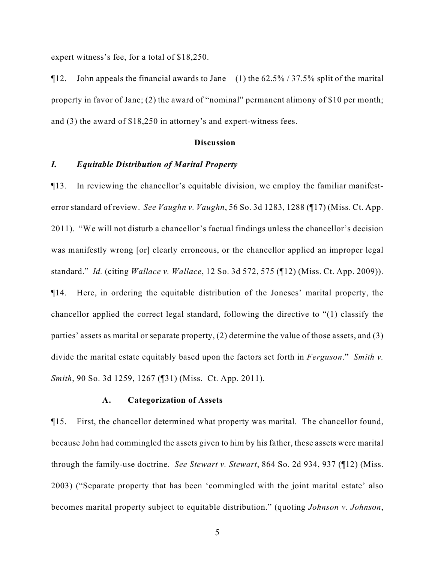expert witness's fee, for a total of \$18,250.

 $\P$ 12. John appeals the financial awards to Jane—(1) the 62.5% / 37.5% split of the marital property in favor of Jane; (2) the award of "nominal" permanent alimony of \$10 per month; and (3) the award of \$18,250 in attorney's and expert-witness fees.

#### **Discussion**

## *I. Equitable Distribution of Marital Property*

¶13. In reviewing the chancellor's equitable division, we employ the familiar manifesterror standard of review. *See Vaughn v. Vaughn*, 56 So. 3d 1283, 1288 (¶17) (Miss. Ct. App. 2011). "We will not disturb a chancellor's factual findings unless the chancellor's decision was manifestly wrong [or] clearly erroneous, or the chancellor applied an improper legal standard." *Id.* (citing *Wallace v. Wallace*, 12 So. 3d 572, 575 (¶12) (Miss. Ct. App. 2009)). ¶14. Here, in ordering the equitable distribution of the Joneses' marital property, the chancellor applied the correct legal standard, following the directive to "(1) classify the parties' assets as marital or separate property, (2) determine the value of those assets, and (3) divide the marital estate equitably based upon the factors set forth in *Ferguson*." *Smith v. Smith*, 90 So. 3d 1259, 1267 (¶31) (Miss. Ct. App. 2011).

#### **A. Categorization of Assets**

¶15. First, the chancellor determined what property was marital. The chancellor found, because John had commingled the assets given to him by his father, these assets were marital through the family-use doctrine. *See Stewart v. Stewart*, 864 So. 2d 934, 937 (¶12) (Miss. 2003) ("Separate property that has been 'commingled with the joint marital estate' also becomes marital property subject to equitable distribution." (quoting *Johnson v. Johnson*,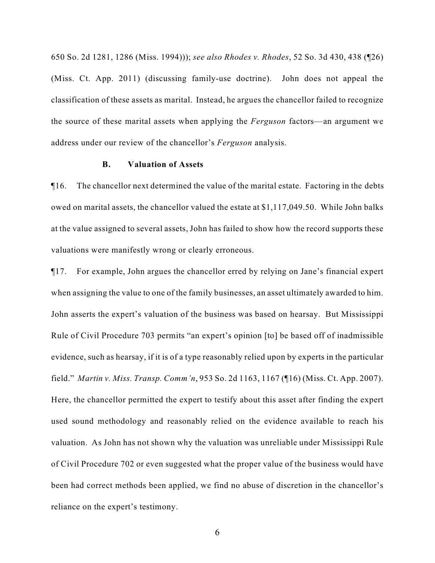650 So. 2d 1281, 1286 (Miss. 1994))); *see also Rhodes v. Rhodes*, 52 So. 3d 430, 438 (¶26) (Miss. Ct. App. 2011) (discussing family-use doctrine). John does not appeal the classification of these assets as marital. Instead, he argues the chancellor failed to recognize the source of these marital assets when applying the *Ferguson* factors—an argument we address under our review of the chancellor's *Ferguson* analysis.

### **B. Valuation of Assets**

¶16. The chancellor next determined the value of the marital estate. Factoring in the debts owed on marital assets, the chancellor valued the estate at \$1,117,049.50. While John balks at the value assigned to several assets, John has failed to show how the record supports these valuations were manifestly wrong or clearly erroneous.

¶17. For example, John argues the chancellor erred by relying on Jane's financial expert when assigning the value to one of the family businesses, an asset ultimately awarded to him. John asserts the expert's valuation of the business was based on hearsay. But Mississippi Rule of Civil Procedure 703 permits "an expert's opinion [to] be based off of inadmissible evidence, such as hearsay, if it is of a type reasonably relied upon by experts in the particular field." *Martin v. Miss. Transp. Comm'n*, 953 So. 2d 1163, 1167 (¶16) (Miss. Ct. App. 2007). Here, the chancellor permitted the expert to testify about this asset after finding the expert used sound methodology and reasonably relied on the evidence available to reach his valuation. As John has not shown why the valuation was unreliable under Mississippi Rule of Civil Procedure 702 or even suggested what the proper value of the business would have been had correct methods been applied, we find no abuse of discretion in the chancellor's reliance on the expert's testimony.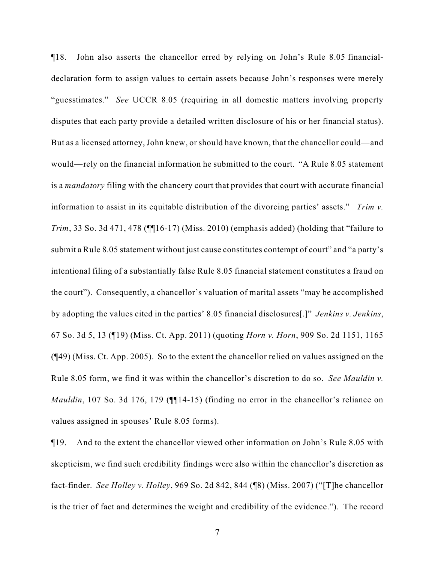¶18. John also asserts the chancellor erred by relying on John's Rule 8.05 financialdeclaration form to assign values to certain assets because John's responses were merely "guesstimates." *See* UCCR 8.05 (requiring in all domestic matters involving property disputes that each party provide a detailed written disclosure of his or her financial status). But as a licensed attorney, John knew, or should have known, that the chancellor could—and would—rely on the financial information he submitted to the court. "A Rule 8.05 statement is a *mandatory* filing with the chancery court that provides that court with accurate financial information to assist in its equitable distribution of the divorcing parties' assets." *Trim v. Trim*, 33 So. 3d 471, 478 (¶¶16-17) (Miss. 2010) (emphasis added) (holding that "failure to submit a Rule 8.05 statement without just cause constitutes contempt of court" and "a party's intentional filing of a substantially false Rule 8.05 financial statement constitutes a fraud on the court"). Consequently, a chancellor's valuation of marital assets "may be accomplished by adopting the values cited in the parties' 8.05 financial disclosures[.]" *Jenkins v. Jenkins*, 67 So. 3d 5, 13 (¶19) (Miss. Ct. App. 2011) (quoting *Horn v. Horn*, 909 So. 2d 1151, 1165 (¶49) (Miss. Ct. App. 2005). So to the extent the chancellor relied on values assigned on the Rule 8.05 form, we find it was within the chancellor's discretion to do so. *See Mauldin v. Mauldin*, 107 So. 3d 176, 179 (¶[14-15) (finding no error in the chancellor's reliance on values assigned in spouses' Rule 8.05 forms).

¶19. And to the extent the chancellor viewed other information on John's Rule 8.05 with skepticism, we find such credibility findings were also within the chancellor's discretion as fact-finder. *See Holley v. Holley*, 969 So. 2d 842, 844 (¶8) (Miss. 2007) ("[T]he chancellor is the trier of fact and determines the weight and credibility of the evidence."). The record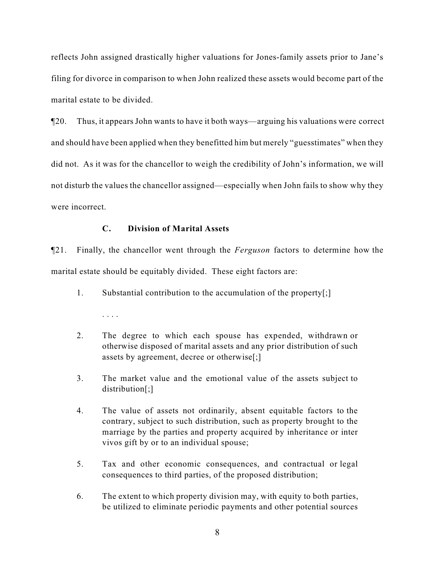reflects John assigned drastically higher valuations for Jones-family assets prior to Jane's filing for divorce in comparison to when John realized these assets would become part of the marital estate to be divided.

¶20. Thus, it appears John wants to have it both ways—arguing his valuations were correct and should have been applied when they benefitted him but merely "guesstimates" when they did not. As it was for the chancellor to weigh the credibility of John's information, we will not disturb the values the chancellor assigned—especially when John fails to show why they were incorrect.

## **C. Division of Marital Assets**

. . . .

¶21. Finally, the chancellor went through the *Ferguson* factors to determine how the marital estate should be equitably divided. These eight factors are:

- 1. Substantial contribution to the accumulation of the property[;]
- 2. The degree to which each spouse has expended, withdrawn or otherwise disposed of marital assets and any prior distribution of such assets by agreement, decree or otherwise[;]
- 3. The market value and the emotional value of the assets subject to distribution[;]
- 4. The value of assets not ordinarily, absent equitable factors to the contrary, subject to such distribution, such as property brought to the marriage by the parties and property acquired by inheritance or inter vivos gift by or to an individual spouse;
- 5. Tax and other economic consequences, and contractual or legal consequences to third parties, of the proposed distribution;
- 6. The extent to which property division may, with equity to both parties, be utilized to eliminate periodic payments and other potential sources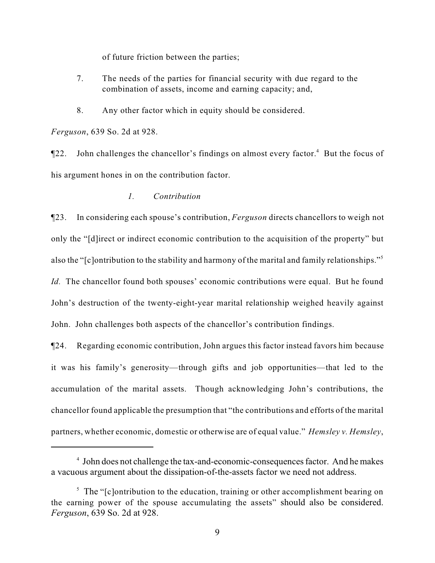of future friction between the parties;

- 7. The needs of the parties for financial security with due regard to the combination of assets, income and earning capacity; and,
- 8. Any other factor which in equity should be considered.

*Ferguson*, 639 So. 2d at 928.

 $\P$ 22. John challenges the chancellor's findings on almost every factor.<sup>4</sup> But the focus of his argument hones in on the contribution factor.

### *1. Contribution*

¶23. In considering each spouse's contribution, *Ferguson* directs chancellors to weigh not only the "[d]irect or indirect economic contribution to the acquisition of the property" but also the "[c]ontribution to the stability and harmony of the marital and family relationships."<sup>5</sup>

*Id.* The chancellor found both spouses' economic contributions were equal. But he found John's destruction of the twenty-eight-year marital relationship weighed heavily against John. John challenges both aspects of the chancellor's contribution findings.

¶24. Regarding economic contribution, John argues this factor instead favors him because it was his family's generosity—through gifts and job opportunities—that led to the accumulation of the marital assets. Though acknowledging John's contributions, the chancellor found applicable the presumption that "the contributions and efforts of the marital partners, whether economic, domestic or otherwise are of equal value." *Hemsley v. Hemsley*,

 $<sup>4</sup>$  John does not challenge the tax-and-economic-consequences factor. And he makes</sup> a vacuous argument about the dissipation-of-the-assets factor we need not address.

 $\frac{1}{2}$ . The "[c]ontribution to the education, training or other accomplishment bearing on the earning power of the spouse accumulating the assets" should also be considered. *Ferguson*, 639 So. 2d at 928.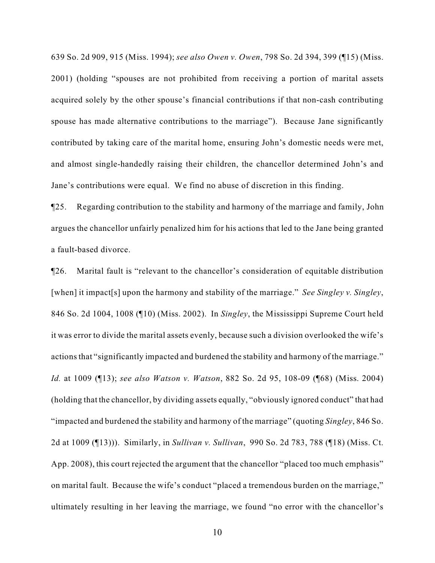639 So. 2d 909, 915 (Miss. 1994); *see also Owen v. Owen*, 798 So. 2d 394, 399 (¶15) (Miss. 2001) (holding "spouses are not prohibited from receiving a portion of marital assets acquired solely by the other spouse's financial contributions if that non-cash contributing spouse has made alternative contributions to the marriage"). Because Jane significantly contributed by taking care of the marital home, ensuring John's domestic needs were met, and almost single-handedly raising their children, the chancellor determined John's and Jane's contributions were equal. We find no abuse of discretion in this finding.

¶25. Regarding contribution to the stability and harmony of the marriage and family, John argues the chancellor unfairly penalized him for his actions that led to the Jane being granted a fault-based divorce.

¶26. Marital fault is "relevant to the chancellor's consideration of equitable distribution [when] it impact[s] upon the harmony and stability of the marriage." *See Singley v. Singley*, 846 So. 2d 1004, 1008 (¶10) (Miss. 2002). In *Singley*, the Mississippi Supreme Court held it was error to divide the marital assets evenly, because such a division overlooked the wife's actions that "significantly impacted and burdened the stability and harmony of the marriage." *Id.* at 1009 (¶13); *see also Watson v. Watson*, 882 So. 2d 95, 108-09 (¶68) (Miss. 2004) (holding that the chancellor, by dividing assets equally, "obviously ignored conduct" that had "impacted and burdened the stability and harmony of the marriage" (quoting *Singley*, 846 So. 2d at 1009 (¶13))). Similarly, in *Sullivan v. Sullivan*, 990 So. 2d 783, 788 (¶18) (Miss. Ct. App. 2008), this court rejected the argument that the chancellor "placed too much emphasis" on marital fault. Because the wife's conduct "placed a tremendous burden on the marriage," ultimately resulting in her leaving the marriage, we found "no error with the chancellor's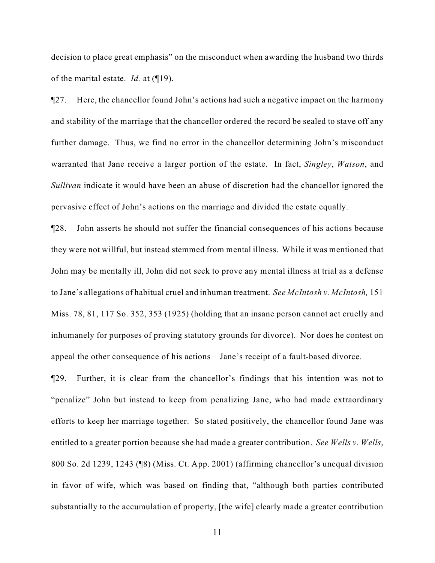decision to place great emphasis" on the misconduct when awarding the husband two thirds of the marital estate. *Id.* at (¶19).

¶27. Here, the chancellor found John's actions had such a negative impact on the harmony and stability of the marriage that the chancellor ordered the record be sealed to stave off any further damage. Thus, we find no error in the chancellor determining John's misconduct warranted that Jane receive a larger portion of the estate. In fact, *Singley*, *Watson*, and *Sullivan* indicate it would have been an abuse of discretion had the chancellor ignored the pervasive effect of John's actions on the marriage and divided the estate equally.

¶28. John asserts he should not suffer the financial consequences of his actions because they were not willful, but instead stemmed from mental illness. While it was mentioned that John may be mentally ill, John did not seek to prove any mental illness at trial as a defense to Jane's allegations of habitual cruel and inhuman treatment. *See McIntosh v. McIntosh,* 151 Miss. 78, 81, 117 So. 352, 353 (1925) (holding that an insane person cannot act cruelly and inhumanely for purposes of proving statutory grounds for divorce). Nor does he contest on appeal the other consequence of his actions—Jane's receipt of a fault-based divorce.

¶29. Further, it is clear from the chancellor's findings that his intention was not to "penalize" John but instead to keep from penalizing Jane, who had made extraordinary efforts to keep her marriage together. So stated positively, the chancellor found Jane was entitled to a greater portion because she had made a greater contribution. *See Wells v. Wells*, 800 So. 2d 1239, 1243 (¶8) (Miss. Ct. App. 2001) (affirming chancellor's unequal division in favor of wife, which was based on finding that, "although both parties contributed substantially to the accumulation of property, [the wife] clearly made a greater contribution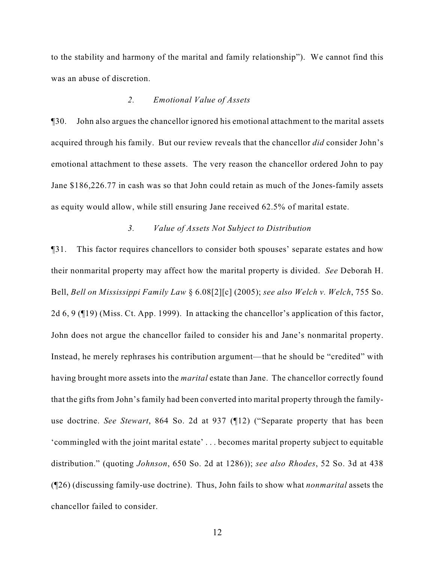to the stability and harmony of the marital and family relationship"). We cannot find this was an abuse of discretion.

#### *2. Emotional Value of Assets*

¶30. John also argues the chancellor ignored his emotional attachment to the marital assets acquired through his family. But our review reveals that the chancellor *did* consider John's emotional attachment to these assets. The very reason the chancellor ordered John to pay Jane \$186,226.77 in cash was so that John could retain as much of the Jones-family assets as equity would allow, while still ensuring Jane received 62.5% of marital estate.

## *3. Value of Assets Not Subject to Distribution*

¶31. This factor requires chancellors to consider both spouses' separate estates and how their nonmarital property may affect how the marital property is divided. *See* Deborah H. Bell, *Bell on Mississippi Family Law* § 6.08[2][c] (2005); *see also Welch v. Welch*, 755 So. 2d 6, 9 (¶19) (Miss. Ct. App. 1999). In attacking the chancellor's application of this factor, John does not argue the chancellor failed to consider his and Jane's nonmarital property. Instead, he merely rephrases his contribution argument—that he should be "credited" with having brought more assets into the *marital* estate than Jane. The chancellor correctly found that the gifts from John's family had been converted into marital property through the familyuse doctrine. *See Stewart*, 864 So. 2d at 937 (¶12) ("Separate property that has been 'commingled with the joint marital estate' . . . becomes marital property subject to equitable distribution." (quoting *Johnson*, 650 So. 2d at 1286)); *see also Rhodes*, 52 So. 3d at 438 (¶26) (discussing family-use doctrine). Thus, John fails to show what *nonmarital* assets the chancellor failed to consider.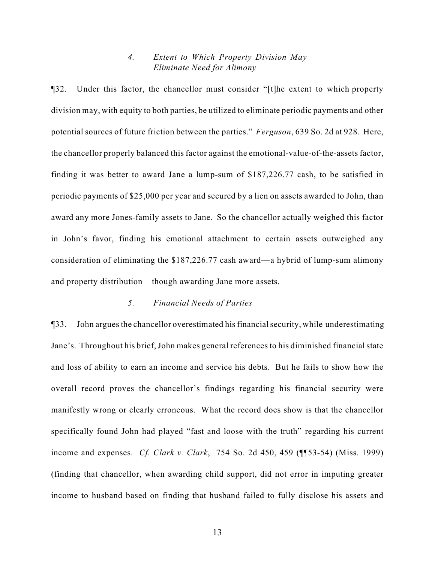## *4. Extent to Which Property Division May Eliminate Need for Alimony*

¶32. Under this factor, the chancellor must consider "[t]he extent to which property division may, with equity to both parties, be utilized to eliminate periodic payments and other potential sources of future friction between the parties." *Ferguson*, 639 So. 2d at 928. Here, the chancellor properly balanced this factor against the emotional-value-of-the-assets factor, finding it was better to award Jane a lump-sum of \$187,226.77 cash, to be satisfied in periodic payments of \$25,000 per year and secured by a lien on assets awarded to John, than award any more Jones-family assets to Jane. So the chancellor actually weighed this factor in John's favor, finding his emotional attachment to certain assets outweighed any consideration of eliminating the \$187,226.77 cash award—a hybrid of lump-sum alimony and property distribution—though awarding Jane more assets.

## *5. Financial Needs of Parties*

¶33. John argues the chancellor overestimated his financial security, while underestimating Jane's. Throughout his brief, John makes general references to his diminished financial state and loss of ability to earn an income and service his debts. But he fails to show how the overall record proves the chancellor's findings regarding his financial security were manifestly wrong or clearly erroneous. What the record does show is that the chancellor specifically found John had played "fast and loose with the truth" regarding his current income and expenses. *Cf. Clark v. Clark*, 754 So. 2d 450, 459 (¶¶53-54) (Miss. 1999) (finding that chancellor, when awarding child support, did not error in imputing greater income to husband based on finding that husband failed to fully disclose his assets and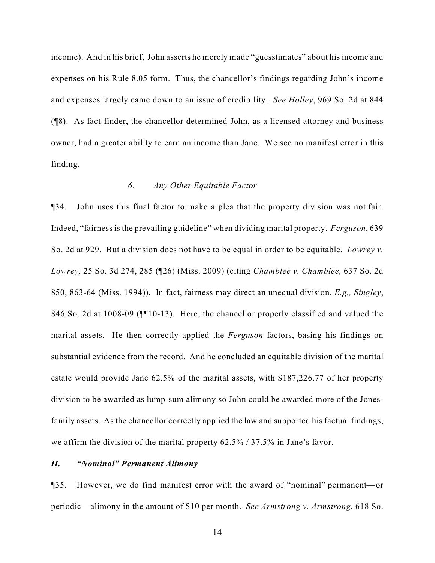income). And in his brief, John asserts he merely made "guesstimates" about his income and expenses on his Rule 8.05 form. Thus, the chancellor's findings regarding John's income and expenses largely came down to an issue of credibility. *See Holley*, 969 So. 2d at 844 (¶8). As fact-finder, the chancellor determined John, as a licensed attorney and business owner, had a greater ability to earn an income than Jane. We see no manifest error in this finding.

## *6. Any Other Equitable Factor*

¶34. John uses this final factor to make a plea that the property division was not fair. Indeed, "fairness is the prevailing guideline" when dividing marital property. *Ferguson*, 639 So. 2d at 929. But a division does not have to be equal in order to be equitable. *Lowrey v. Lowrey,* 25 So. 3d 274, 285 (¶26) (Miss. 2009) (citing *Chamblee v. Chamblee,* 637 So. 2d 850, 863-64 (Miss. 1994)). In fact, fairness may direct an unequal division. *E.g., Singley*, 846 So. 2d at 1008-09 (¶¶10-13). Here, the chancellor properly classified and valued the marital assets. He then correctly applied the *Ferguson* factors, basing his findings on substantial evidence from the record. And he concluded an equitable division of the marital estate would provide Jane 62.5% of the marital assets, with \$187,226.77 of her property division to be awarded as lump-sum alimony so John could be awarded more of the Jonesfamily assets. As the chancellor correctly applied the law and supported his factual findings, we affirm the division of the marital property 62.5% / 37.5% in Jane's favor.

#### *II. "Nominal" Permanent Alimony*

¶35. However, we do find manifest error with the award of "nominal" permanent—or periodic—alimony in the amount of \$10 per month. *See Armstrong v. Armstrong*, 618 So.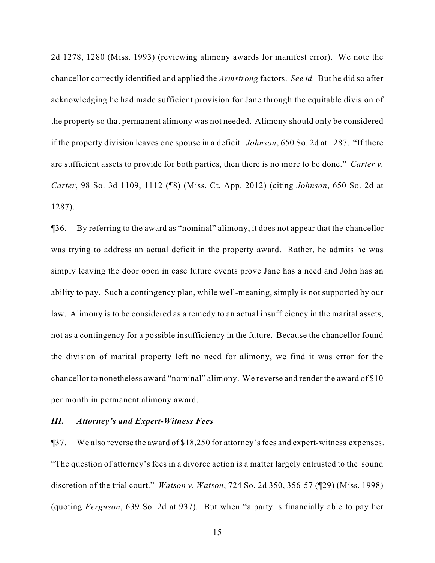2d 1278, 1280 (Miss. 1993) (reviewing alimony awards for manifest error). We note the chancellor correctly identified and applied the *Armstrong* factors. *See id.* But he did so after acknowledging he had made sufficient provision for Jane through the equitable division of the property so that permanent alimony was not needed. Alimony should only be considered if the property division leaves one spouse in a deficit. *Johnson*, 650 So. 2d at 1287. "If there are sufficient assets to provide for both parties, then there is no more to be done." *Carter v. Carter*, 98 So. 3d 1109, 1112 (¶8) (Miss. Ct. App. 2012) (citing *Johnson*, 650 So. 2d at 1287).

¶36. By referring to the award as "nominal" alimony, it does not appear that the chancellor was trying to address an actual deficit in the property award. Rather, he admits he was simply leaving the door open in case future events prove Jane has a need and John has an ability to pay. Such a contingency plan, while well-meaning, simply is not supported by our law. Alimony is to be considered as a remedy to an actual insufficiency in the marital assets, not as a contingency for a possible insufficiency in the future. Because the chancellor found the division of marital property left no need for alimony, we find it was error for the chancellor to nonetheless award "nominal" alimony. We reverse and render the award of \$10 per month in permanent alimony award.

### *III. Attorney's and Expert-Witness Fees*

¶37. We also reverse the award of \$18,250 for attorney's fees and expert-witness expenses. "The question of attorney's fees in a divorce action is a matter largely entrusted to the sound discretion of the trial court." *Watson v. Watson*, 724 So. 2d 350, 356-57 (¶29) (Miss. 1998) (quoting *Ferguson*, 639 So. 2d at 937). But when "a party is financially able to pay her